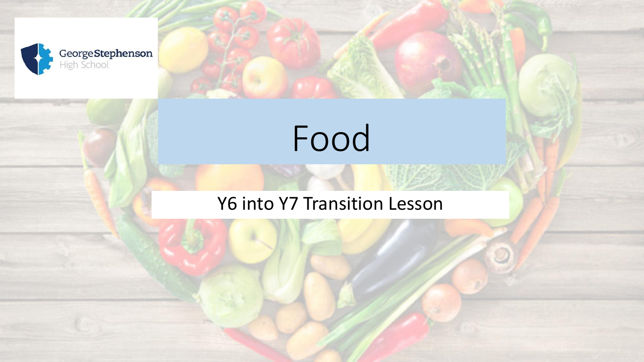

# Food

#### Y6 into Y7 Transition Lesson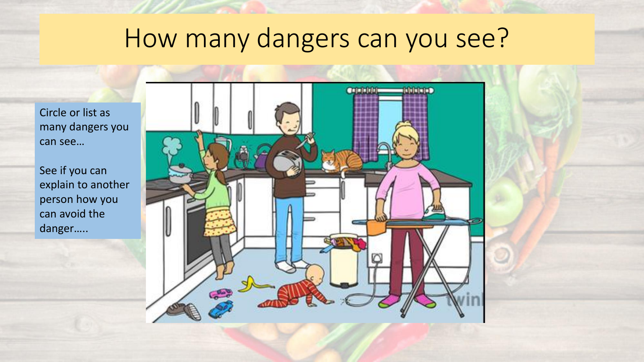#### How many dangers can you see?

Circle or list as many dangers you can see…

See if you can explain to another person how you can avoid the danger…..

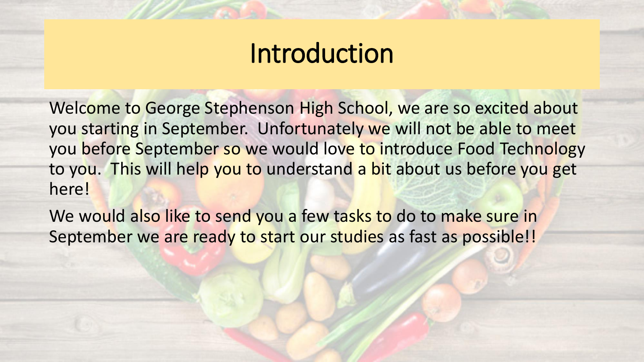#### Introduction

Welcome to George Stephenson High School, we are so excited about you starting in September. Unfortunately we will not be able to meet you before September so we would love to introduce Food Technology to you. This will help you to understand a bit about us before you get here!

We would also like to send you a few tasks to do to make sure in September we are ready to start our studies as fast as possible!!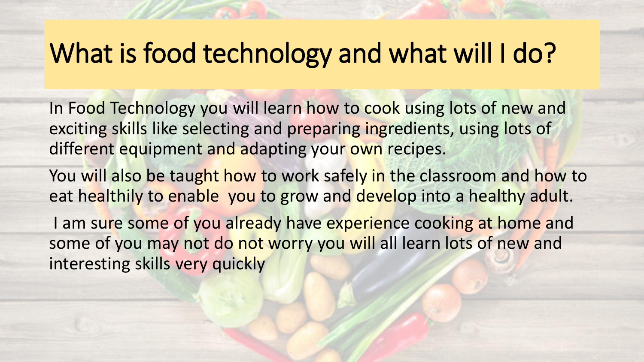### What is food technology and what will I do?

In Food Technology you will learn how to cook using lots of new and exciting skills like selecting and preparing ingredients, using lots of different equipment and adapting your own recipes.

You will also be taught how to work safely in the classroom and how to eat healthily to enable you to grow and develop into a healthy adult.

I am sure some of you already have experience cooking at home and some of you may not do not worry you will all learn lots of new and interesting skills very quickly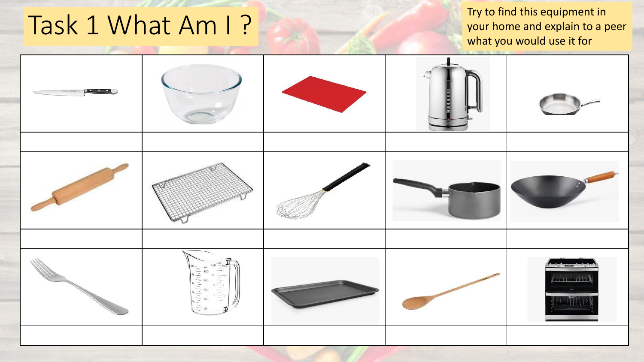## Try to find this equipment in<br>your home and explain to a p<br>your home and explain to a p

your home and explain to a peer what you would use it for

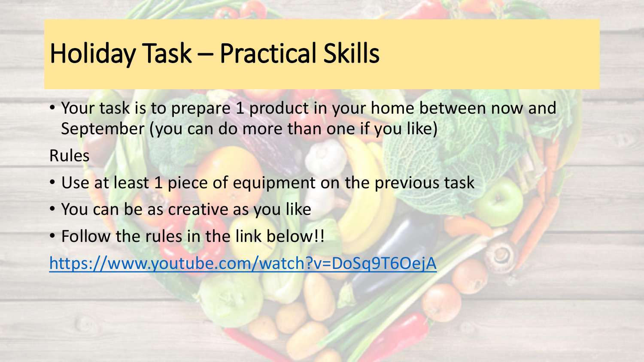#### Holiday Task – Practical Skills

- Your task is to prepare 1 product in your home between now and September (you can do more than one if you like) Rules
- Use at least 1 piece of equipment on the previous task
- You can be as creative as you like
- Follow the rules in the link below!!

<https://www.youtube.com/watch?v=DoSq9T6OejA>